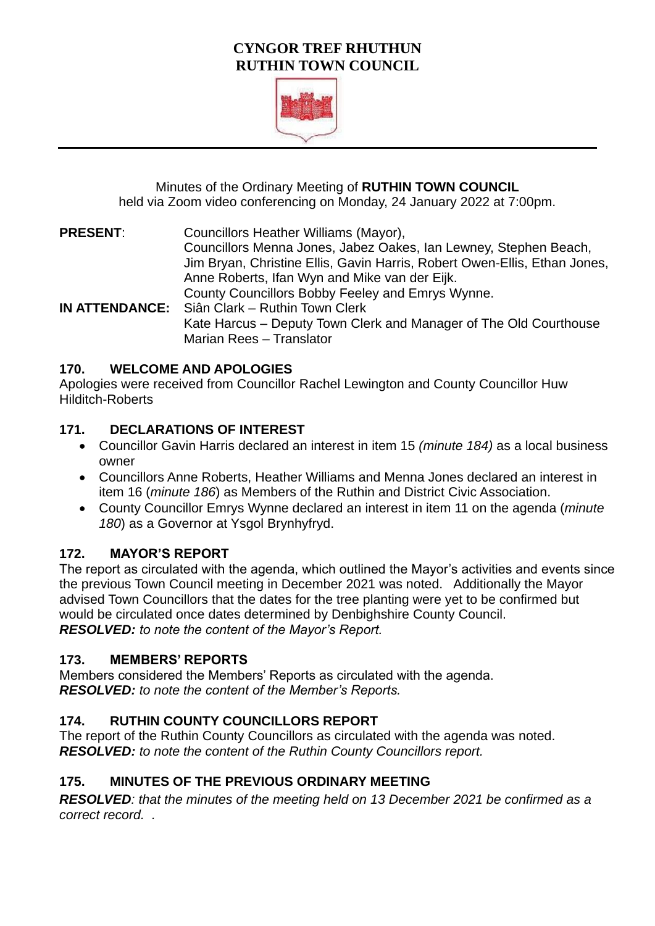# **CYNGOR TREF RHUTHUN RUTHIN TOWN COUNCIL**



Minutes of the Ordinary Meeting of **RUTHIN TOWN COUNCIL**  held via Zoom video conferencing on Monday, 24 January 2022 at 7:00pm.

**PRESENT**: Councillors Heather Williams (Mayor), Councillors Menna Jones, Jabez Oakes, Ian Lewney, Stephen Beach, Jim Bryan, Christine Ellis, Gavin Harris, Robert Owen-Ellis, Ethan Jones, Anne Roberts, Ifan Wyn and Mike van der Eijk. County Councillors Bobby Feeley and Emrys Wynne. **IN ATTENDANCE:** Siân Clark – Ruthin Town Clerk Kate Harcus – Deputy Town Clerk and Manager of The Old Courthouse Marian Rees – Translator

## **170. WELCOME AND APOLOGIES**

Apologies were received from Councillor Rachel Lewington and County Councillor Huw Hilditch-Roberts

# **171. DECLARATIONS OF INTEREST**

- Councillor Gavin Harris declared an interest in item 15 *(minute 184)* as a local business owner
- Councillors Anne Roberts, Heather Williams and Menna Jones declared an interest in item 16 (*minute 186*) as Members of the Ruthin and District Civic Association.
- County Councillor Emrys Wynne declared an interest in item 11 on the agenda (*minute 180*) as a Governor at Ysgol Brynhyfryd.

# **172. MAYOR'S REPORT**

The report as circulated with the agenda, which outlined the Mayor's activities and events since the previous Town Council meeting in December 2021 was noted. Additionally the Mayor advised Town Councillors that the dates for the tree planting were yet to be confirmed but would be circulated once dates determined by Denbighshire County Council. *RESOLVED: to note the content of the Mayor's Report.*

# **173. MEMBERS' REPORTS**

Members considered the Members' Reports as circulated with the agenda. *RESOLVED: to note the content of the Member's Reports.*

# **174. RUTHIN COUNTY COUNCILLORS REPORT**

The report of the Ruthin County Councillors as circulated with the agenda was noted. *RESOLVED: to note the content of the Ruthin County Councillors report.*

# **175. MINUTES OF THE PREVIOUS ORDINARY MEETING**

*RESOLVED: that the minutes of the meeting held on 13 December 2021 be confirmed as a correct record. .*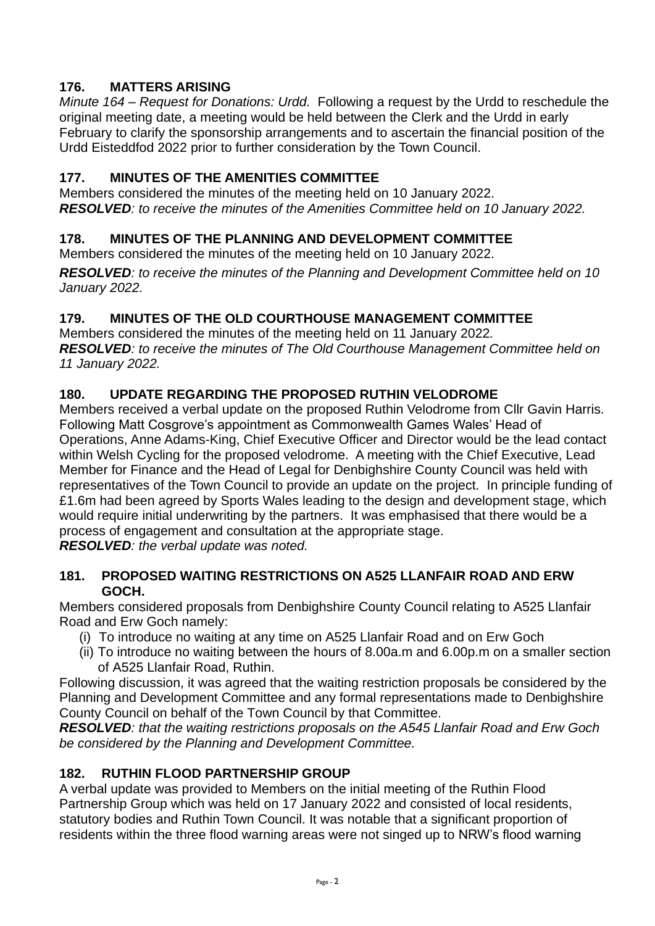# **176. MATTERS ARISING**

*Minute 164 – Request for Donations: Urdd.* Following a request by the Urdd to reschedule the original meeting date, a meeting would be held between the Clerk and the Urdd in early February to clarify the sponsorship arrangements and to ascertain the financial position of the Urdd Eisteddfod 2022 prior to further consideration by the Town Council.

## **177. MINUTES OF THE AMENITIES COMMITTEE**

Members considered the minutes of the meeting held on 10 January 2022. *RESOLVED: to receive the minutes of the Amenities Committee held on 10 January 2022.* 

# **178. MINUTES OF THE PLANNING AND DEVELOPMENT COMMITTEE**

Members considered the minutes of the meeting held on 10 January 2022.

*RESOLVED: to receive the minutes of the Planning and Development Committee held on 10 January 2022.* 

# **179. MINUTES OF THE OLD COURTHOUSE MANAGEMENT COMMITTEE**

Members considered the minutes of the meeting held on 11 January 2022*. RESOLVED: to receive the minutes of The Old Courthouse Management Committee held on 11 January 2022.* 

# **180. UPDATE REGARDING THE PROPOSED RUTHIN VELODROME**

Members received a verbal update on the proposed Ruthin Velodrome from Cllr Gavin Harris. Following Matt Cosgrove's appointment as Commonwealth Games Wales' Head of Operations, Anne Adams-King, Chief Executive Officer and Director would be the lead contact within Welsh Cycling for the proposed velodrome. A meeting with the Chief Executive, Lead Member for Finance and the Head of Legal for Denbighshire County Council was held with representatives of the Town Council to provide an update on the project. In principle funding of £1.6m had been agreed by Sports Wales leading to the design and development stage, which would require initial underwriting by the partners. It was emphasised that there would be a process of engagement and consultation at the appropriate stage.

*RESOLVED: the verbal update was noted.*

#### **181. PROPOSED WAITING RESTRICTIONS ON A525 LLANFAIR ROAD AND ERW GOCH.**

Members considered proposals from Denbighshire County Council relating to A525 Llanfair Road and Erw Goch namely:

- (i) To introduce no waiting at any time on A525 Llanfair Road and on Erw Goch
- (ii) To introduce no waiting between the hours of 8.00a.m and 6.00p.m on a smaller section of A525 Llanfair Road, Ruthin.

Following discussion, it was agreed that the waiting restriction proposals be considered by the Planning and Development Committee and any formal representations made to Denbighshire County Council on behalf of the Town Council by that Committee.

*RESOLVED: that the waiting restrictions proposals on the A545 Llanfair Road and Erw Goch be considered by the Planning and Development Committee.*

## **182. RUTHIN FLOOD PARTNERSHIP GROUP**

A verbal update was provided to Members on the initial meeting of the Ruthin Flood Partnership Group which was held on 17 January 2022 and consisted of local residents, statutory bodies and Ruthin Town Council. It was notable that a significant proportion of residents within the three flood warning areas were not singed up to NRW's flood warning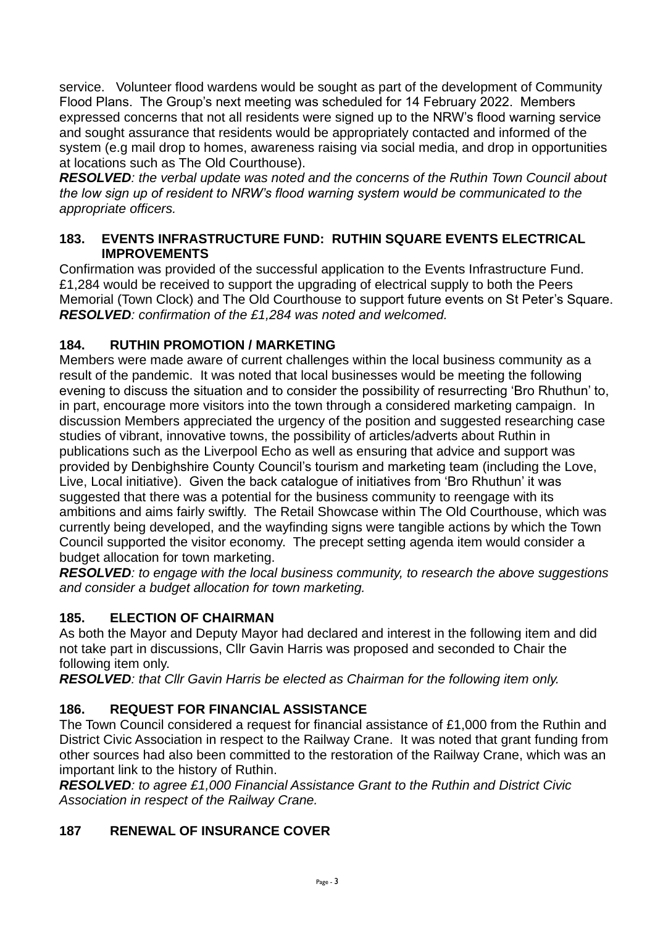service. Volunteer flood wardens would be sought as part of the development of Community Flood Plans. The Group's next meeting was scheduled for 14 February 2022. Members expressed concerns that not all residents were signed up to the NRW's flood warning service and sought assurance that residents would be appropriately contacted and informed of the system (e.g mail drop to homes, awareness raising via social media, and drop in opportunities at locations such as The Old Courthouse).

*RESOLVED: the verbal update was noted and the concerns of the Ruthin Town Council about the low sign up of resident to NRW's flood warning system would be communicated to the appropriate officers.*

### **183. EVENTS INFRASTRUCTURE FUND: RUTHIN SQUARE EVENTS ELECTRICAL IMPROVEMENTS**

Confirmation was provided of the successful application to the Events Infrastructure Fund. £1,284 would be received to support the upgrading of electrical supply to both the Peers Memorial (Town Clock) and The Old Courthouse to support future events on St Peter's Square. *RESOLVED: confirmation of the £1,284 was noted and welcomed.*

## **184. RUTHIN PROMOTION / MARKETING**

Members were made aware of current challenges within the local business community as a result of the pandemic. It was noted that local businesses would be meeting the following evening to discuss the situation and to consider the possibility of resurrecting 'Bro Rhuthun' to, in part, encourage more visitors into the town through a considered marketing campaign. In discussion Members appreciated the urgency of the position and suggested researching case studies of vibrant, innovative towns, the possibility of articles/adverts about Ruthin in publications such as the Liverpool Echo as well as ensuring that advice and support was provided by Denbighshire County Council's tourism and marketing team (including the Love, Live, Local initiative). Given the back catalogue of initiatives from 'Bro Rhuthun' it was suggested that there was a potential for the business community to reengage with its ambitions and aims fairly swiftly. The Retail Showcase within The Old Courthouse, which was currently being developed, and the wayfinding signs were tangible actions by which the Town Council supported the visitor economy. The precept setting agenda item would consider a budget allocation for town marketing.

*RESOLVED: to engage with the local business community, to research the above suggestions and consider a budget allocation for town marketing.*

## **185. ELECTION OF CHAIRMAN**

As both the Mayor and Deputy Mayor had declared and interest in the following item and did not take part in discussions, Cllr Gavin Harris was proposed and seconded to Chair the following item only.

*RESOLVED: that Cllr Gavin Harris be elected as Chairman for the following item only.*

# **186. REQUEST FOR FINANCIAL ASSISTANCE**

The Town Council considered a request for financial assistance of £1,000 from the Ruthin and District Civic Association in respect to the Railway Crane. It was noted that grant funding from other sources had also been committed to the restoration of the Railway Crane, which was an important link to the history of Ruthin.

*RESOLVED: to agree £1,000 Financial Assistance Grant to the Ruthin and District Civic Association in respect of the Railway Crane.*

# **187 RENEWAL OF INSURANCE COVER**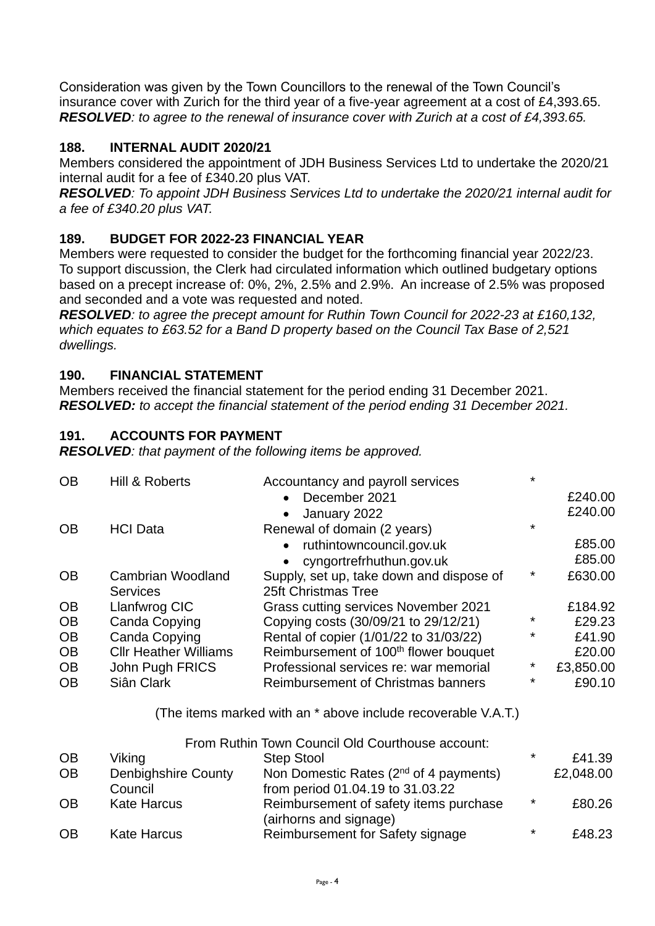Consideration was given by the Town Councillors to the renewal of the Town Council's insurance cover with Zurich for the third year of a five-year agreement at a cost of £4,393.65. *RESOLVED: to agree to the renewal of insurance cover with Zurich at a cost of £4,393.65.*

## **188. INTERNAL AUDIT 2020/21**

Members considered the appointment of JDH Business Services Ltd to undertake the 2020/21 internal audit for a fee of £340.20 plus VAT.

*RESOLVED: To appoint JDH Business Services Ltd to undertake the 2020/21 internal audit for a fee of £340.20 plus VAT.*

# **189. BUDGET FOR 2022-23 FINANCIAL YEAR**

Members were requested to consider the budget for the forthcoming financial year 2022/23. To support discussion, the Clerk had circulated information which outlined budgetary options based on a precept increase of: 0%, 2%, 2.5% and 2.9%. An increase of 2.5% was proposed and seconded and a vote was requested and noted.

*RESOLVED: to agree the precept amount for Ruthin Town Council for 2022-23 at £160,132, which equates to £63.52 for a Band D property based on the Council Tax Base of 2,521 dwellings.* 

#### **190. FINANCIAL STATEMENT**

Members received the financial statement for the period ending 31 December 2021. *RESOLVED: to accept the financial statement of the period ending 31 December 2021.*

## **191. ACCOUNTS FOR PAYMENT**

*RESOLVED: that payment of the following items be approved.*

| <b>OB</b> | Hill & Roberts               | Accountancy and payroll services                              | $\star$ |           |
|-----------|------------------------------|---------------------------------------------------------------|---------|-----------|
|           |                              | December 2021<br>$\bullet$                                    |         | £240.00   |
|           |                              | January 2022<br>$\bullet$                                     |         | £240.00   |
| <b>OB</b> | <b>HCI Data</b>              | Renewal of domain (2 years)                                   | $\star$ |           |
|           |                              | ruthintowncouncil.gov.uk<br>$\bullet$                         |         | £85.00    |
|           |                              | cyngortrefrhuthun.gov.uk                                      |         | £85.00    |
| <b>OB</b> | <b>Cambrian Woodland</b>     | Supply, set up, take down and dispose of                      | *       | £630.00   |
|           | <b>Services</b>              | 25ft Christmas Tree                                           |         |           |
| <b>OB</b> | Llanfwrog CIC                | Grass cutting services November 2021                          |         | £184.92   |
| <b>OB</b> | <b>Canda Copying</b>         | Copying costs (30/09/21 to 29/12/21)                          | *       | £29.23    |
| <b>OB</b> | <b>Canda Copying</b>         | Rental of copier (1/01/22 to 31/03/22)                        | *       | £41.90    |
| <b>OB</b> | <b>Cllr Heather Williams</b> | Reimbursement of 100 <sup>th</sup> flower bouquet             |         | £20.00    |
| <b>OB</b> | John Pugh FRICS              | Professional services re: war memorial                        | *       | £3,850.00 |
| <b>OB</b> | Siân Clark                   | <b>Reimbursement of Christmas banners</b>                     | *       | £90.10    |
|           |                              | (The items marked with an * above include recoverable V.A.T.) |         |           |
|           |                              | From Ruthin Town Council Old Courthouse account:              |         |           |
| <b>OB</b> | Viking                       | <b>Step Stool</b>                                             | $\star$ | £41.39    |
| <b>OB</b> | Denbighshire County          | Non Domestic Rates (2 <sup>nd</sup> of 4 payments)            |         | £2,048.00 |

|    | Council            | from period 01.04.19 to 31.03.22       |         |        |
|----|--------------------|----------------------------------------|---------|--------|
| OВ | Kate Harcus        | Reimbursement of safety items purchase | $\star$ | £80.26 |
|    |                    | (airhorns and signage)                 |         |        |
| OВ | <b>Kate Harcus</b> | Reimbursement for Safety signage       | $\ast$  | £48.23 |